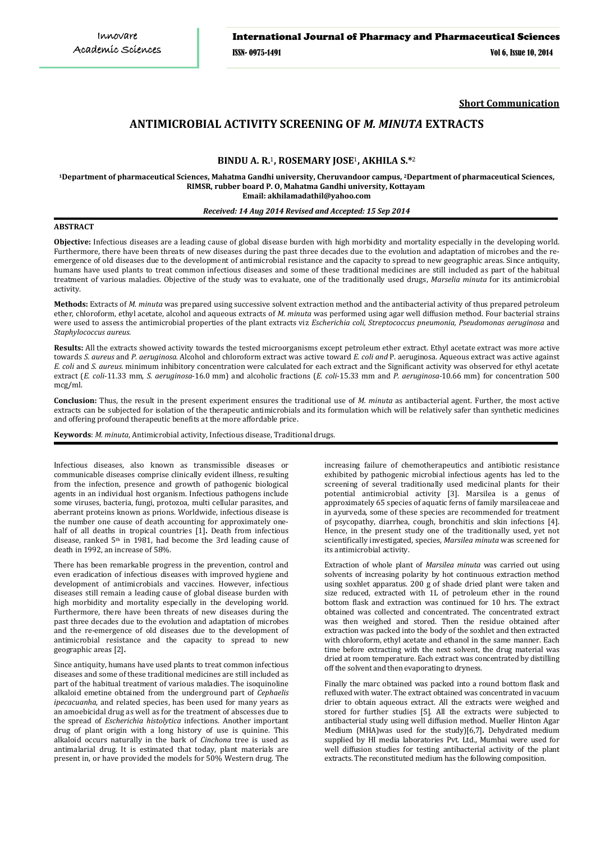**Short Communication**

# **ANTIMICROBIAL ACTIVITY SCREENING OF** *M. MINUTA* **EXTRACTS**

# **BINDU A. R.**1**, ROSEMARY JOSE**1**, AKHILA S.\***<sup>2</sup>

**<sup>1</sup>Department of pharmaceutical Sciences, Mahatma Gandhi university, Cheruvandoor campus, <sup>2</sup>Department of pharmaceutical Sciences, RIMSR, rubber board P. O, Mahatma Gandhi university, Kottayam Email: akhilamadathil@yahoo.com**

## *Received: 14 Aug 2014 Revised and Accepted: 15 Sep 2014*

#### **ABSTRACT**

**Objective:** Infectious diseases are a leading cause of global disease burden with high morbidity and mortality especially in the developing world. Furthermore, there have been threats of new diseases during the past three decades due to the evolution and adaptation of microbes and the reemergence of old diseases due to the development of antimicrobial resistance and the capacity to spread to new geographic areas. Since antiquity, humans have used plants to treat common infectious diseases and some of these traditional medicines are still included as part of the habitual treatment of various maladies. Objective of the study was to evaluate, one of the traditionally used drugs, *Marselia minuta* for its antimicrobial activity.

**Methods:** Extracts of *M. minuta* was prepared using successive solvent extraction method and the antibacterial activity of thus prepared petroleum ether, chloroform, ethyl acetate, alcohol and aqueous extracts of *M. minuta* was performed using agar well diffusion method. Four bacterial strains were used to assess the antimicrobial properties of the plant extracts viz *Escherichia coli, Streptococcus pneumonia, Pseudomonas aeruginosa* and *Staphylococcus aureus.* 

**Results:** All the extracts showed activity towards the tested microorganisms except petroleum ether extract. Ethyl acetate extract was more active towards *S. aureus* and *P. aeruginosa.* Alcohol and chloroform extract was active toward *E. coli and* P. aeruginosa*.* Aqueous extract was active against *E. coli* and *S. aureus.* minimum inhibitory concentration were calculated for each extract and the Significant activity was observed for ethyl acetate extract (*E. coli*-11.33 mm, *S. aeruginosa*-16.0 mm) and alcoholic fractions (*E. coli*-15.33 mm and *P. aeruginosa*-10.66 mm) for concentration 500 mcg/ml.

**Conclusion:** Thus, the result in the present experiment ensures the traditional use of *M. minuta* as antibacterial agent. Further, the most active extracts can be subjected for isolation of the therapeutic antimicrobials and its formulation which will be relatively safer than synthetic medicines and offering profound therapeutic benefits at the more affordable price.

**Keywords**: *M. minuta*, Antimicrobial activity, Infectious disease, Traditional drugs.

Infectious diseases, also known as transmissible diseases or communicable diseases comprise clinically evident illness, resulting from the infection, presence and growth of pathogenic biological agents in an individual host organism. Infectious pathogens include some viruses, bacteria, fungi, protozoa, multi cellular parasites, and aberrant proteins known as prions. Worldwide, infectious disease is the number one cause of death accounting for approximately onehalf of all deaths in tropical countries [1]**.** Death from infectious disease, ranked  $5<sup>m</sup>$  in 1981, had become the 3rd leading cause of death in 1992, an increase of 58%.

There has been remarkable progress in the prevention, control and even eradication of infectious diseases with improved hygiene and development of antimicrobials and vaccines. However, infectious diseases still remain a leading cause of global disease burden with high morbidity and mortality especially in the developing world. Furthermore, there have been threats of new diseases during the past three decades due to the evolution and adaptation of microbes and the re-emergence of old diseases due to the development of antimicrobial resistance and the capacity to spread to new geographic areas [2]**.**

Since antiquity, humans have used plants to treat common infectious diseases and some of these traditional medicines are still included as part of the habitual treatment of various maladies. The isoquinoline alkaloid emetine obtained from the underground part of *Cephaelis ipecacuanha*, and related species, has been used for many years as an amoebicidal drug as well as for the treatment of abscesses due to the spread of *Escherichia histolytica* infections. Another important drug of plant origin with a long history of use is quinine. This alkaloid occurs naturally in the bark of *Cinchona* tree is used as antimalarial drug. It is estimated that today, plant materials are present in, or have provided the models for 50% Western drug. The

increasing failure of chemotherapeutics and antibiotic resistance exhibited by pathogenic microbial infectious agents has led to the screening of several traditionally used medicinal plants for their potential antimicrobial activity [3]. Marsilea is a genus of approximately 65 species of aquatic ferns of family marsileaceae and in ayurveda, some of these species are recommended for treatment of psycopathy, diarrhea, cough, bronchitis and skin infections [4]. Hence, in the present study one of the traditionally used, yet not scientifically investigated, species, *Marsilea minuta* was screened for its antimicrobial activity.

Extraction of whole plant of *Marsilea minuta* was carried out using solvents of increasing polarity by hot continuous extraction method using soxhlet apparatus. 200 g of shade dried plant were taken and size reduced, extracted with 1L of petroleum ether in the round bottom flask and extraction was continued for 10 hrs. The extract obtained was collected and concentrated. The concentrated extract was then weighed and stored. Then the residue obtained after extraction was packed into the body of the soxhlet and then extracted with chloroform, ethyl acetate and ethanol in the same manner. Each time before extracting with the next solvent, the drug material was dried at room temperature. Each extract was concentrated by distilling off the solvent and then evaporating to dryness.

Finally the marc obtained was packed into a round bottom flask and refluxed with water. The extract obtained was concentrated in vacuum drier to obtain aqueous extract. All the extracts were weighed and stored for further studies [5]. All the extracts were subjected to antibacterial study using well diffusion method. Mueller Hinton Agar Medium (MHA)was used for the study)[6,7]**.** Dehydrated medium supplied by HI media laboratories Pvt. Ltd., Mumbai were used for well diffusion studies for testing antibacterial activity of the plant extracts. The reconstituted medium has the following composition.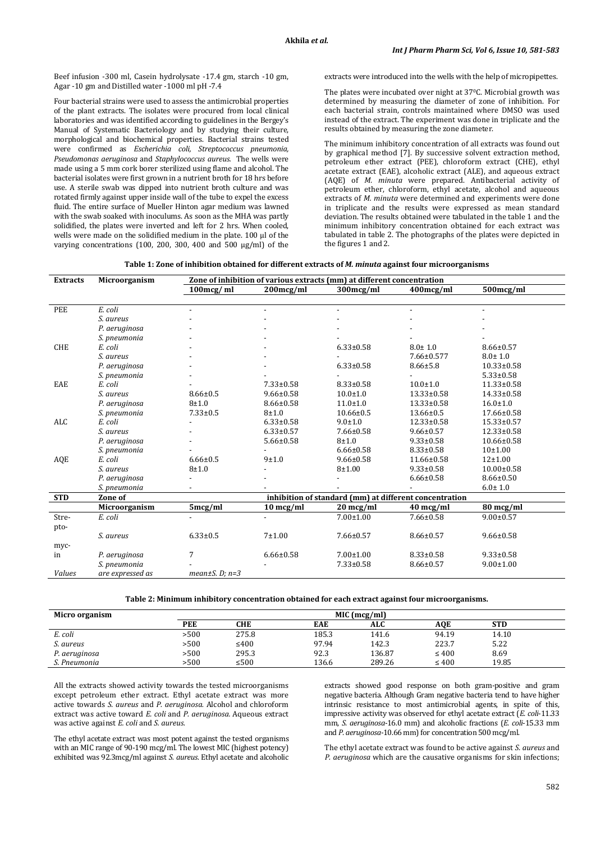Beef infusion -300 ml, Casein hydrolysate -17.4 gm, starch -10 gm, Agar -10 gm and Distilled water -1000 ml pH -7.4

Four bacterial strains were used to assess the antimicrobial properties of the plant extracts. The isolates were procured from local clinical laboratories and was identified according to guidelines in the Bergey's Manual of Systematic Bacteriology and by studying their culture, morphological and biochemical properties. Bacterial strains tested were confirmed as *Escherichia coli, Streptococcus pneumonia, Pseudomonas aeruginosa* and *Staphylococcus aureus.* The wells were made using a 5 mm cork borer sterilized using flame and alcohol. The bacterial isolates were first grown in a nutrient broth for 18 hrs before use. A sterile swab was dipped into nutrient broth culture and was rotated firmly against upper inside wall of the tube to expel the excess fluid. The entire surface of Mueller Hinton agar medium was lawned with the swab soaked with inoculums. As soon as the MHA was partly solidified, the plates were inverted and left for 2 hrs. When cooled, wells were made on the solidified medium in the plate. 100 μl of the varying concentrations (100, 200, 300, 400 and 500 μg/ml) of the extracts were introduced into the wells with the help of micropipettes.

The plates were incubated over night at 370 C. Microbial growth was determined by measuring the diameter of zone of inhibition. For each bacterial strain, controls maintained where DMSO was used instead of the extract. The experiment was done in triplicate and the results obtained by measuring the zone diameter.

The minimum inhibitory concentration of all extracts was found out by graphical method [7]. By successive solvent extraction method, petroleum ether extract (PEE), chloroform extract (CHE), ethyl acetate extract (EAE), alcoholic extract (ALE), and aqueous extract (AQE) of *M. minuta* were prepared. Antibacterial activity of petroleum ether, chloroform, ethyl acetate, alcohol and aqueous extracts of *M. minuta* were determined and experiments were done in triplicate and the results were expressed as mean standard deviation. The results obtained were tabulated in the table 1 and the minimum inhibitory concentration obtained for each extract was tabulated in table 2. The photographs of the plates were depicted in the figures 1 and 2.

| Table 1: Zone of inhibition obtained for different extracts of <i>M. minuta</i> against four microorganisms |  |  |  |
|-------------------------------------------------------------------------------------------------------------|--|--|--|
|-------------------------------------------------------------------------------------------------------------|--|--|--|

| <b>Extracts</b> | Microorganism    | Zone of inhibition of various extracts (mm) at different concentration |                    |                                                        |                  |                  |  |
|-----------------|------------------|------------------------------------------------------------------------|--------------------|--------------------------------------------------------|------------------|------------------|--|
|                 |                  | $100$ mcg/ml                                                           | 200mcg/ml          | 300mcg/ml                                              | 400mcg/ml        | 500mcg/ml        |  |
|                 |                  |                                                                        |                    |                                                        |                  |                  |  |
| PEE             | E. coli          |                                                                        |                    |                                                        |                  |                  |  |
|                 | S. aureus        |                                                                        |                    |                                                        |                  |                  |  |
|                 | P. aeruginosa    |                                                                        |                    |                                                        |                  |                  |  |
|                 | S. pneumonia     |                                                                        |                    |                                                        |                  |                  |  |
| <b>CHE</b>      | E. coli          |                                                                        |                    | $6.33 \pm 0.58$                                        | $8.0 \pm 1.0$    | $8.66 \pm 0.57$  |  |
|                 | S. aureus        |                                                                        |                    |                                                        | 7.66±0.577       | $8.0 \pm 1.0$    |  |
|                 | P. aeruginosa    |                                                                        |                    | $6.33 \pm 0.58$                                        | $8.66 \pm 5.8$   | $10.33 \pm 0.58$ |  |
|                 | S. pneumonia     |                                                                        |                    |                                                        |                  | $5.33 \pm 0.58$  |  |
| EAE             | E. coli          |                                                                        | $7.33 \pm 0.58$    | $8.33 \pm 0.58$                                        | $10.0 \pm 1.0$   | $11.33 \pm 0.58$ |  |
|                 | S. aureus        | $8.66 \pm 0.5$                                                         | $9.66 \pm 0.58$    | $10.0 \pm 1.0$                                         | $13.33 \pm 0.58$ | $14.33 \pm 0.58$ |  |
|                 | P. aeruginosa    | $8 + 1.0$                                                              | $8.66 \pm 0.58$    | $11.0 \pm 1.0$                                         | 13.33±0.58       | $16.0 \pm 1.0$   |  |
|                 | S. pneumonia     | $7.33 \pm 0.5$                                                         | $8 + 1.0$          | $10.66 \pm 0.5$                                        | $13.66 \pm 0.5$  | $17.66 \pm 0.58$ |  |
| <b>ALC</b>      | E. coli          |                                                                        | $6.33 \pm 0.58$    | $9.0 \pm 1.0$                                          | $12.33 \pm 0.58$ | $15.33 \pm 0.57$ |  |
|                 | S. aureus        |                                                                        | $6.33 \pm 0.57$    | $7.66 \pm 0.58$                                        | $9.66 \pm 0.57$  | $12.33 \pm 0.58$ |  |
|                 | P. aeruginosa    |                                                                        | $5.66 \pm 0.58$    | $8 + 1.0$                                              | $9.33 \pm 0.58$  | $10.66 \pm 0.58$ |  |
|                 | S. pneumonia     |                                                                        |                    | $6.66 \pm 0.58$                                        | $8.33 \pm 0.58$  | $10+1.00$        |  |
| AQE             | E. coli          | $6.66 \pm 0.5$                                                         | 9±1.0              | $9.66 \pm 0.58$                                        | $11.66 \pm 0.58$ | $12 + 1.00$      |  |
|                 | S. aureus        | $8 + 1.0$                                                              |                    | $8 + 1.00$                                             | $9.33 \pm 0.58$  | $10.00 \pm 0.58$ |  |
|                 | P. aeruginosa    |                                                                        |                    |                                                        | $6.66 \pm 0.58$  | $8.66 \pm 0.50$  |  |
|                 | S. pneumonia     | -                                                                      |                    |                                                        |                  | $6.0 \pm 1.0$    |  |
| <b>STD</b>      | Zone of          |                                                                        |                    | inhibition of standard (mm) at different concentration |                  |                  |  |
|                 | Microorganism    | 5mcg/ml                                                                | $10 \text{ mg/ml}$ | $20 \text{ mcg/ml}$                                    | 40 mcg/ml        | 80 mcg/ml        |  |
| Stre-           | E. coli          |                                                                        |                    | $7.00 \pm 1.00$                                        | $7.66 \pm 0.58$  | $9.00 \pm 0.57$  |  |
| pto-            |                  |                                                                        |                    |                                                        |                  |                  |  |
|                 | S. aureus        | $6.33 \pm 0.5$                                                         | 7±1.00             | $7.66 \pm 0.57$                                        | $8.66 \pm 0.57$  | $9.66 \pm 0.58$  |  |
| myc-            |                  |                                                                        |                    |                                                        |                  |                  |  |
| in              | P. aeruginosa    | 7                                                                      | $6.66 \pm 0.58$    | $7.00 \pm 1.00$                                        | $8.33 \pm 0.58$  | $9.33 \pm 0.58$  |  |
|                 | S. pneumonia     |                                                                        |                    | $7.33 \pm 0.58$                                        | $8.66 \pm 0.57$  | $9.00 \pm 1.00$  |  |
| <b>Values</b>   | are expressed as | $mean \pm S$ . D; $n=3$                                                |                    |                                                        |                  |                  |  |

**Table 2: Minimum inhibitory concentration obtained for each extract against four microorganisms.**

| Micro organism | MIC (mcg/ml) |            |            |        |            |            |  |  |
|----------------|--------------|------------|------------|--------|------------|------------|--|--|
|                | PEE          | <b>CHE</b> | <b>EAE</b> | ALC    | AOE        | <b>STD</b> |  |  |
| E. coli        | >500         | 275.8      | 185.3      | 141.6  | 94.19      | 14.10      |  |  |
| S. aureus      | >500         | $\leq 400$ | 97.94      | 142.3  | 223.7      | 5.22       |  |  |
| P. aeruginosa  | >500         | 295.3      | 92.3       | 136.87 | $\leq 400$ | 8.69       |  |  |
| S. Pneumonia   | >500         | $\leq 500$ | 136.6      | 289.26 | $\leq 400$ | 19.85      |  |  |

All the extracts showed activity towards the tested microorganisms except petroleum ether extract. Ethyl acetate extract was more active towards *S. aureus* and *P. aeruginosa.* Alcohol and chloroform extract was active toward *E. coli* and *P. aeruginosa.* Aqueous extract was active against *E. coli* and *S. aureus.*

The ethyl acetate extract was most potent against the tested organisms with an MIC range of 90-190 mcg/ml. The lowest MIC (highest potency) exhibited was 92.3mcg/ml against *S. aureus*. Ethyl acetate and alcoholic

extracts showed good response on both gram-positive and gram negative bacteria. Although Gram negative bacteria tend to have higher intrinsic resistance to most antimicrobial agents, in spite of this, impressive activity was observed for ethyl acetate extract (*E. coli*-11.33 mm, *S. aeruginosa*-16.0 mm) and alcoholic fractions (*E. coli*-15.33 mm and *P. aeruginosa*-10.66 mm) for concentration 500 mcg/ml.

The ethyl acetate extract was found to be active against *S. aureus* and *P. aeruginosa* which are the causative organisms for skin infections;